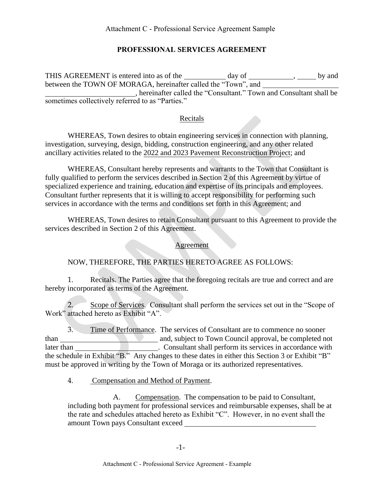### **PROFESSIONAL SERVICES AGREEMENT**

THIS AGREEMENT is entered into as of the day of , by and between the TOWN OF MORAGA, hereinafter called the "Town", and , hereinafter called the "Consultant." Town and Consultant shall be sometimes collectively referred to as "Parties."

### Recitals

WHEREAS, Town desires to obtain engineering services in connection with planning, investigation, surveying, design, bidding, construction engineering, and any other related ancillary activities related to the 2022 and 2023 Pavement Reconstruction Project; and

WHEREAS, Consultant hereby represents and warrants to the Town that Consultant is fully qualified to perform the services described in Section 2 of this Agreement by virtue of specialized experience and training, education and expertise of its principals and employees. Consultant further represents that it is willing to accept responsibility for performing such services in accordance with the terms and conditions set forth in this Agreement; and

WHEREAS, Town desires to retain Consultant pursuant to this Agreement to provide the services described in Section 2 of this Agreement.

#### Agreement

### NOW, THEREFORE, THE PARTIES HERETO AGREE AS FOLLOWS:

1. Recitals. The Parties agree that the foregoing recitals are true and correct and are hereby incorporated as terms of the Agreement.

2. Scope of Services. Consultant shall perform the services set out in the "Scope of Work" attached hereto as Exhibit "A".

3. Time of Performance. The services of Consultant are to commence no sooner than and, subject to Town Council approval, be completed not later than **than EXEC III** Consultant shall perform its services in accordance with the schedule in Exhibit "B." Any changes to these dates in either this Section 3 or Exhibit "B" must be approved in writing by the Town of Moraga or its authorized representatives.

#### 4. Compensation and Method of Payment.

A. Compensation. The compensation to be paid to Consultant, including both payment for professional services and reimbursable expenses, shall be at the rate and schedules attached hereto as Exhibit "C". However, in no event shall the amount Town pays Consultant exceed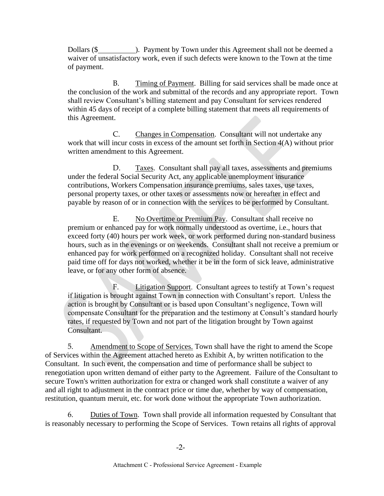Dollars (\$ waiver of unsatisfactory work, even if such defects were known to the Town at the time of payment.

B. Timing of Payment. Billing for said services shall be made once at the conclusion of the work and submittal of the records and any appropriate report. Town shall review Consultant's billing statement and pay Consultant for services rendered within 45 days of receipt of a complete billing statement that meets all requirements of this Agreement.

C. Changes in Compensation. Consultant will not undertake any work that will incur costs in excess of the amount set forth in Section 4(A) without prior written amendment to this Agreement.

D. Taxes. Consultant shall pay all taxes, assessments and premiums under the federal Social Security Act, any applicable unemployment insurance contributions, Workers Compensation insurance premiums, sales taxes, use taxes, personal property taxes, or other taxes or assessments now or hereafter in effect and payable by reason of or in connection with the services to be performed by Consultant.

E. No Overtime or Premium Pay. Consultant shall receive no premium or enhanced pay for work normally understood as overtime, i.e., hours that exceed forty (40) hours per work week, or work performed during non-standard business hours, such as in the evenings or on weekends. Consultant shall not receive a premium or enhanced pay for work performed on a recognized holiday. Consultant shall not receive paid time off for days not worked, whether it be in the form of sick leave, administrative leave, or for any other form of absence.

F. Litigation Support. Consultant agrees to testify at Town's request if litigation is brought against Town in connection with Consultant's report. Unless the action is brought by Consultant or is based upon Consultant's negligence, Town will compensate Consultant for the preparation and the testimony at Consult's standard hourly rates, if requested by Town and not part of the litigation brought by Town against Consultant.

5. Amendment to Scope of Services. Town shall have the right to amend the Scope of Services within the Agreement attached hereto as Exhibit A, by written notification to the Consultant. In such event, the compensation and time of performance shall be subject to renegotiation upon written demand of either party to the Agreement. Failure of the Consultant to secure Town's written authorization for extra or changed work shall constitute a waiver of any and all right to adjustment in the contract price or time due, whether by way of compensation, restitution, quantum meruit, etc. for work done without the appropriate Town authorization.

6. Duties of Town. Town shall provide all information requested by Consultant that is reasonably necessary to performing the Scope of Services. Town retains all rights of approval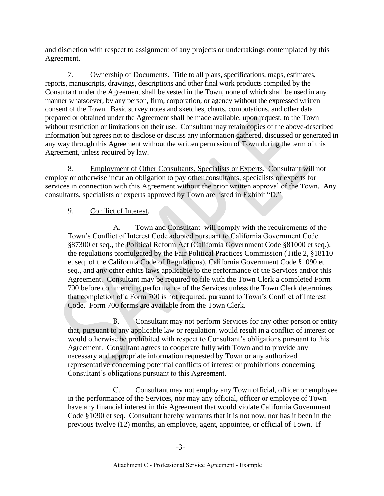and discretion with respect to assignment of any projects or undertakings contemplated by this Agreement.

7. Ownership of Documents. Title to all plans, specifications, maps, estimates, reports, manuscripts, drawings, descriptions and other final work products compiled by the Consultant under the Agreement shall be vested in the Town, none of which shall be used in any manner whatsoever, by any person, firm, corporation, or agency without the expressed written consent of the Town. Basic survey notes and sketches, charts, computations, and other data prepared or obtained under the Agreement shall be made available, upon request, to the Town without restriction or limitations on their use. Consultant may retain copies of the above-described information but agrees not to disclose or discuss any information gathered, discussed or generated in any way through this Agreement without the written permission of Town during the term of this Agreement, unless required by law.

8. Employment of Other Consultants, Specialists or Experts. Consultant will not employ or otherwise incur an obligation to pay other consultants, specialists or experts for services in connection with this Agreement without the prior written approval of the Town. Any consultants, specialists or experts approved by Town are listed in Exhibit "D."

### 9. Conflict of Interest.

A. Town and Consultant will comply with the requirements of the Town's Conflict of Interest Code adopted pursuant to California Government Code §87300 et seq., the Political Reform Act (California Government Code §81000 et seq.), the regulations promulgated by the Fair Political Practices Commission (Title 2, §18110 et seq. of the California Code of Regulations), California Government Code §1090 et seq., and any other ethics laws applicable to the performance of the Services and/or this Agreement. Consultant may be required to file with the Town Clerk a completed Form 700 before commencing performance of the Services unless the Town Clerk determines that completion of a Form 700 is not required, pursuant to Town's Conflict of Interest Code. Form 700 forms are available from the Town Clerk.

B. Consultant may not perform Services for any other person or entity that, pursuant to any applicable law or regulation, would result in a conflict of interest or would otherwise be prohibited with respect to Consultant's obligations pursuant to this Agreement. Consultant agrees to cooperate fully with Town and to provide any necessary and appropriate information requested by Town or any authorized representative concerning potential conflicts of interest or prohibitions concerning Consultant's obligations pursuant to this Agreement.

C. Consultant may not employ any Town official, officer or employee in the performance of the Services, nor may any official, officer or employee of Town have any financial interest in this Agreement that would violate California Government Code §1090 et seq. Consultant hereby warrants that it is not now, nor has it been in the previous twelve (12) months, an employee, agent, appointee, or official of Town. If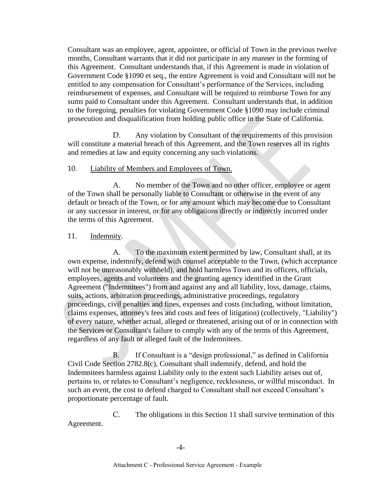Consultant was an employee, agent, appointee, or official of Town in the previous twelve months, Consultant warrants that it did not participate in any manner in the forming of this Agreement. Consultant understands that, if this Agreement is made in violation of Government Code §1090 et seq., the entire Agreement is void and Consultant will not be entitled to any compensation for Consultant's performance of the Services, including reimbursement of expenses, and Consultant will be required to reimburse Town for any sums paid to Consultant under this Agreement. Consultant understands that, in addition to the foregoing, penalties for violating Government Code §1090 may include criminal prosecution and disqualification from holding public office in the State of California.

D. Any violation by Consultant of the requirements of this provision will constitute a material breach of this Agreement, and the Town reserves all its rights and remedies at law and equity concerning any such violations.

#### 10. Liability of Members and Employees of Town.

A. No member of the Town and no other officer, employee or agent of the Town shall be personally liable to Consultant or otherwise in the event of any default or breach of the Town, or for any amount which may become due to Consultant or any successor in interest, or for any obligations directly or indirectly incurred under the terms of this Agreement.

#### 11. Indemnity.

A. To the maximum extent permitted by law, Consultant shall, at its own expense, indemnify, defend with counsel acceptable to the Town, (which acceptance will not be unreasonably withheld), and hold harmless Town and its officers, officials, employees, agents and volunteers and the granting agency identified in the Grant Agreement ("Indemnitees") from and against any and all liability, loss, damage, claims, suits, actions, arbitration proceedings, administrative proceedings, regulatory proceedings, civil penalties and fines, expenses and costs (including, without limitation, claims expenses, attorney's fees and costs and fees of litigation) (collectively, "Liability") of every nature, whether actual, alleged or threatened, arising out of or in connection with the Services or Consultant's failure to comply with any of the terms of this Agreement, regardless of any fault or alleged fault of the Indemnitees.

B. If Consultant is a "design professional," as defined in California Civil Code Section 2782.8(c), Consultant shall indemnify, defend, and hold the Indemnitees harmless against Liability only to the extent such Liability arises out of, pertains to, or relates to Consultant's negligence, recklessness, or willful misconduct. In such an event, the cost to defend charged to Consultant shall not exceed Consultant's proportionate percentage of fault.

C. The obligations in this Section 11 shall survive termination of this Agreement.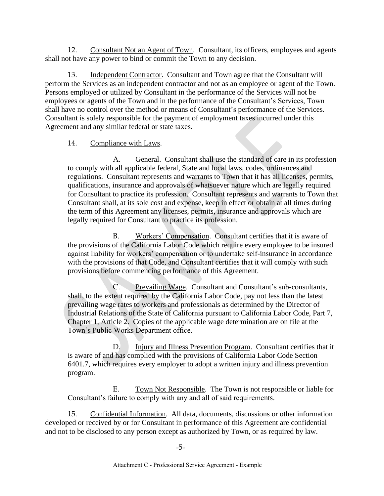12. Consultant Not an Agent of Town. Consultant, its officers, employees and agents shall not have any power to bind or commit the Town to any decision.

13. Independent Contractor. Consultant and Town agree that the Consultant will perform the Services as an independent contractor and not as an employee or agent of the Town. Persons employed or utilized by Consultant in the performance of the Services will not be employees or agents of the Town and in the performance of the Consultant's Services, Town shall have no control over the method or means of Consultant's performance of the Services. Consultant is solely responsible for the payment of employment taxes incurred under this Agreement and any similar federal or state taxes.

### 14. Compliance with Laws.

A. General. Consultant shall use the standard of care in its profession to comply with all applicable federal, State and local laws, codes, ordinances and regulations. Consultant represents and warrants to Town that it has all licenses, permits, qualifications, insurance and approvals of whatsoever nature which are legally required for Consultant to practice its profession. Consultant represents and warrants to Town that Consultant shall, at its sole cost and expense, keep in effect or obtain at all times during the term of this Agreement any licenses, permits, insurance and approvals which are legally required for Consultant to practice its profession.

B. Workers' Compensation. Consultant certifies that it is aware of the provisions of the California Labor Code which require every employee to be insured against liability for workers' compensation or to undertake self-insurance in accordance with the provisions of that Code, and Consultant certifies that it will comply with such provisions before commencing performance of this Agreement.

Prevailing Wage. Consultant and Consultant's sub-consultants, shall, to the extent required by the California Labor Code, pay not less than the latest prevailing wage rates to workers and professionals as determined by the Director of Industrial Relations of the State of California pursuant to California Labor Code, Part 7, Chapter 1, Article 2. Copies of the applicable wage determination are on file at the Town's Public Works Department office.

D. Injury and Illness Prevention Program. Consultant certifies that it is aware of and has complied with the provisions of California Labor Code Section 6401.7, which requires every employer to adopt a written injury and illness prevention program.

E. Town Not Responsible. The Town is not responsible or liable for Consultant's failure to comply with any and all of said requirements.

15. Confidential Information. All data, documents, discussions or other information developed or received by or for Consultant in performance of this Agreement are confidential and not to be disclosed to any person except as authorized by Town, or as required by law.

-5-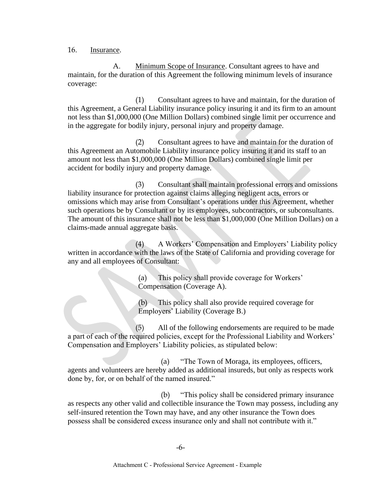16. Insurance.

A. Minimum Scope of Insurance. Consultant agrees to have and maintain, for the duration of this Agreement the following minimum levels of insurance coverage:

(1) Consultant agrees to have and maintain, for the duration of this Agreement, a General Liability insurance policy insuring it and its firm to an amount not less than \$1,000,000 (One Million Dollars) combined single limit per occurrence and in the aggregate for bodily injury, personal injury and property damage.

(2) Consultant agrees to have and maintain for the duration of this Agreement an Automobile Liability insurance policy insuring it and its staff to an amount not less than \$1,000,000 (One Million Dollars) combined single limit per accident for bodily injury and property damage.

(3) Consultant shall maintain professional errors and omissions liability insurance for protection against claims alleging negligent acts, errors or omissions which may arise from Consultant's operations under this Agreement, whether such operations be by Consultant or by its employees, subcontractors, or subconsultants. The amount of this insurance shall not be less than \$1,000,000 (One Million Dollars) on a claims-made annual aggregate basis.

(4) A Workers' Compensation and Employers' Liability policy written in accordance with the laws of the State of California and providing coverage for any and all employees of Consultant:

> (a) This policy shall provide coverage for Workers' Compensation (Coverage A).

(b) This policy shall also provide required coverage for Employers' Liability (Coverage B.)

(5) All of the following endorsements are required to be made a part of each of the required policies, except for the Professional Liability and Workers' Compensation and Employers' Liability policies, as stipulated below:

(a) "The Town of Moraga, its employees, officers, agents and volunteers are hereby added as additional insureds, but only as respects work done by, for, or on behalf of the named insured."

(b) "This policy shall be considered primary insurance as respects any other valid and collectible insurance the Town may possess, including any self-insured retention the Town may have, and any other insurance the Town does possess shall be considered excess insurance only and shall not contribute with it."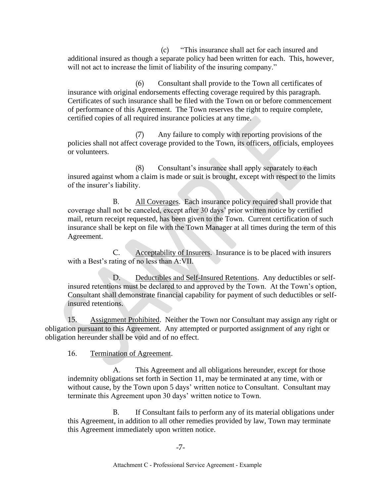(c) "This insurance shall act for each insured and additional insured as though a separate policy had been written for each. This, however, will not act to increase the limit of liability of the insuring company."

(6) Consultant shall provide to the Town all certificates of insurance with original endorsements effecting coverage required by this paragraph. Certificates of such insurance shall be filed with the Town on or before commencement of performance of this Agreement. The Town reserves the right to require complete, certified copies of all required insurance policies at any time.

(7) Any failure to comply with reporting provisions of the policies shall not affect coverage provided to the Town, its officers, officials, employees or volunteers.

(8) Consultant's insurance shall apply separately to each insured against whom a claim is made or suit is brought, except with respect to the limits of the insurer's liability.

B. All Coverages. Each insurance policy required shall provide that coverage shall not be canceled, except after 30 days' prior written notice by certified mail, return receipt requested, has been given to the Town. Current certification of such insurance shall be kept on file with the Town Manager at all times during the term of this Agreement.

C. Acceptability of Insurers. Insurance is to be placed with insurers with a Best's rating of no less than A:VII.

D. Deductibles and Self-Insured Retentions. Any deductibles or selfinsured retentions must be declared to and approved by the Town. At the Town's option, Consultant shall demonstrate financial capability for payment of such deductibles or selfinsured retentions.

15. Assignment Prohibited. Neither the Town nor Consultant may assign any right or obligation pursuant to this Agreement. Any attempted or purported assignment of any right or obligation hereunder shall be void and of no effect.

16. Termination of Agreement.

A. This Agreement and all obligations hereunder, except for those indemnity obligations set forth in Section 11, may be terminated at any time, with or without cause, by the Town upon 5 days' written notice to Consultant. Consultant may terminate this Agreement upon 30 days' written notice to Town.

B. If Consultant fails to perform any of its material obligations under this Agreement, in addition to all other remedies provided by law, Town may terminate this Agreement immediately upon written notice.

-7-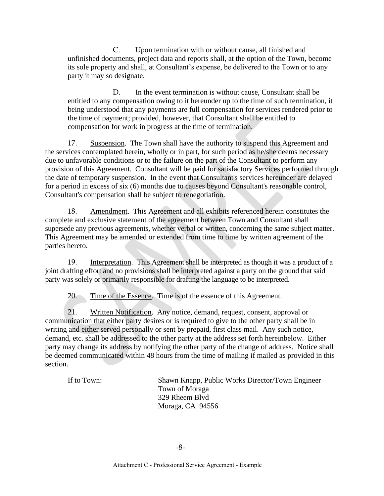C. Upon termination with or without cause, all finished and unfinished documents, project data and reports shall, at the option of the Town, become its sole property and shall, at Consultant's expense, be delivered to the Town or to any party it may so designate.

D. In the event termination is without cause, Consultant shall be entitled to any compensation owing to it hereunder up to the time of such termination, it being understood that any payments are full compensation for services rendered prior to the time of payment; provided, however, that Consultant shall be entitled to compensation for work in progress at the time of termination.

17. Suspension. The Town shall have the authority to suspend this Agreement and the services contemplated herein, wholly or in part, for such period as he/she deems necessary due to unfavorable conditions or to the failure on the part of the Consultant to perform any provision of this Agreement. Consultant will be paid for satisfactory Services performed through the date of temporary suspension. In the event that Consultant's services hereunder are delayed for a period in excess of six (6) months due to causes beyond Consultant's reasonable control, Consultant's compensation shall be subject to renegotiation.

18. Amendment. This Agreement and all exhibits referenced herein constitutes the complete and exclusive statement of the agreement between Town and Consultant shall supersede any previous agreements, whether verbal or written, concerning the same subject matter. This Agreement may be amended or extended from time to time by written agreement of the parties hereto.

19. Interpretation. This Agreement shall be interpreted as though it was a product of a joint drafting effort and no provisions shall be interpreted against a party on the ground that said party was solely or primarily responsible for drafting the language to be interpreted.

20. Time of the Essence. Time is of the essence of this Agreement.

21. Written Notification. Any notice, demand, request, consent, approval or communication that either party desires or is required to give to the other party shall be in writing and either served personally or sent by prepaid, first class mail. Any such notice, demand, etc. shall be addressed to the other party at the address set forth hereinbelow. Either party may change its address by notifying the other party of the change of address. Notice shall be deemed communicated within 48 hours from the time of mailing if mailed as provided in this section.

If to Town: Shawn Knapp, Public Works Director/Town Engineer Town of Moraga 329 Rheem Blvd Moraga, CA 94556

-8-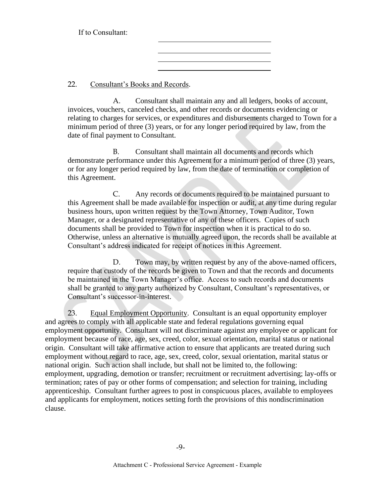If to Consultant:

22. Consultant's Books and Records.

A. Consultant shall maintain any and all ledgers, books of account, invoices, vouchers, canceled checks, and other records or documents evidencing or relating to charges for services, or expenditures and disbursements charged to Town for a minimum period of three (3) years, or for any longer period required by law, from the date of final payment to Consultant.

B. Consultant shall maintain all documents and records which demonstrate performance under this Agreement for a minimum period of three (3) years, or for any longer period required by law, from the date of termination or completion of this Agreement.

C. Any records or documents required to be maintained pursuant to this Agreement shall be made available for inspection or audit, at any time during regular business hours, upon written request by the Town Attorney, Town Auditor, Town Manager, or a designated representative of any of these officers. Copies of such documents shall be provided to Town for inspection when it is practical to do so. Otherwise, unless an alternative is mutually agreed upon, the records shall be available at Consultant's address indicated for receipt of notices in this Agreement.

D. Town may, by written request by any of the above-named officers, require that custody of the records be given to Town and that the records and documents be maintained in the Town Manager's office. Access to such records and documents shall be granted to any party authorized by Consultant, Consultant's representatives, or Consultant's successor-in-interest.

23. Equal Employment Opportunity. Consultant is an equal opportunity employer and agrees to comply with all applicable state and federal regulations governing equal employment opportunity. Consultant will not discriminate against any employee or applicant for employment because of race, age, sex, creed, color, sexual orientation, marital status or national origin. Consultant will take affirmative action to ensure that applicants are treated during such employment without regard to race, age, sex, creed, color, sexual orientation, marital status or national origin. Such action shall include, but shall not be limited to, the following: employment, upgrading, demotion or transfer; recruitment or recruitment advertising; lay-offs or termination; rates of pay or other forms of compensation; and selection for training, including apprenticeship. Consultant further agrees to post in conspicuous places, available to employees and applicants for employment, notices setting forth the provisions of this nondiscrimination clause.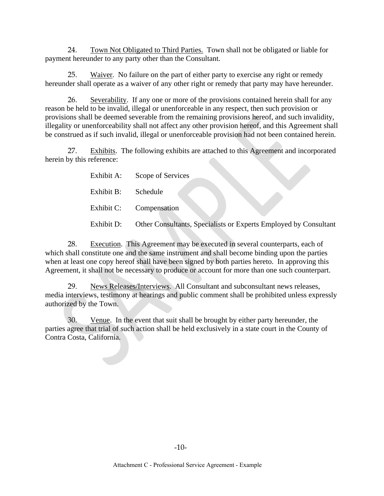24. Town Not Obligated to Third Parties. Town shall not be obligated or liable for payment hereunder to any party other than the Consultant.

25. Waiver. No failure on the part of either party to exercise any right or remedy hereunder shall operate as a waiver of any other right or remedy that party may have hereunder.

26. Severability. If any one or more of the provisions contained herein shall for any reason be held to be invalid, illegal or unenforceable in any respect, then such provision or provisions shall be deemed severable from the remaining provisions hereof, and such invalidity, illegality or unenforceability shall not affect any other provision hereof, and this Agreement shall be construed as if such invalid, illegal or unenforceable provision had not been contained herein.

27. Exhibits. The following exhibits are attached to this Agreement and incorporated herein by this reference:

| Exhibit A: | Scope of Services                                                |
|------------|------------------------------------------------------------------|
| Exhibit B: | Schedule                                                         |
| Exhibit C: | Compensation                                                     |
| Exhibit D: | Other Consultants, Specialists or Experts Employed by Consultant |

28. Execution. This Agreement may be executed in several counterparts, each of which shall constitute one and the same instrument and shall become binding upon the parties when at least one copy hereof shall have been signed by both parties hereto. In approving this Agreement, it shall not be necessary to produce or account for more than one such counterpart.

29. News Releases/Interviews. All Consultant and subconsultant news releases, media interviews, testimony at hearings and public comment shall be prohibited unless expressly authorized by the Town.

30. Venue. In the event that suit shall be brought by either party hereunder, the parties agree that trial of such action shall be held exclusively in a state court in the County of Contra Costa, California.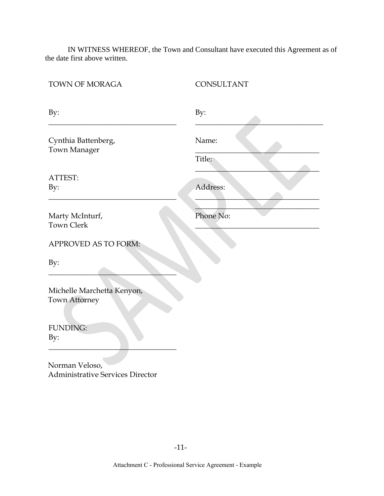IN WITNESS WHEREOF, the Town and Consultant have executed this Agreement as of the date first above written.

| TOWN OF MORAGA                                            | CONSULTANT      |
|-----------------------------------------------------------|-----------------|
| By:                                                       | By:             |
| Cynthia Battenberg,<br>Town Manager                       | Name:<br>Title: |
| ATTEST:<br>By:                                            | Address:        |
| Marty McInturf,<br><b>Town Clerk</b>                      | Phone No:       |
| APPROVED AS TO FORM:                                      |                 |
| By:                                                       |                 |
| Michelle Marchetta Kenyon,<br>Town Attorney               |                 |
| <b>FUNDING:</b><br>By:                                    |                 |
| Norman Veloso,<br><b>Administrative Services Director</b> |                 |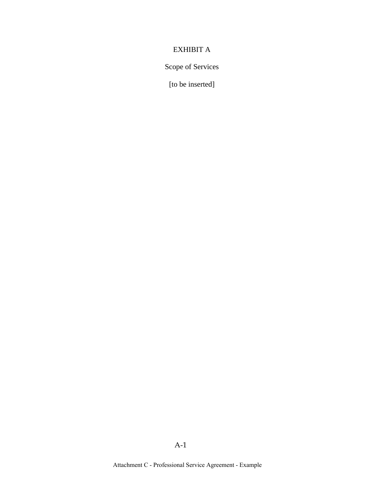# EXHIBIT A

Scope of Services

[to be inserted]

Attachment C - Professional Service Agreement - Example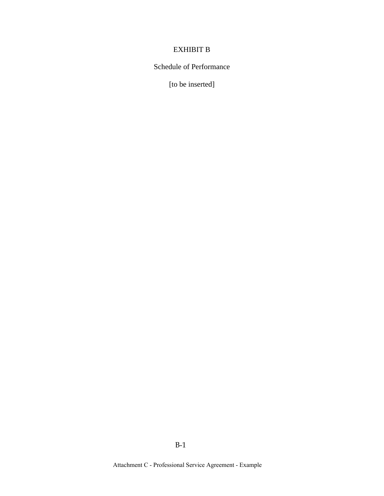# EXHIBIT B

# Schedule of Performance

[to be inserted]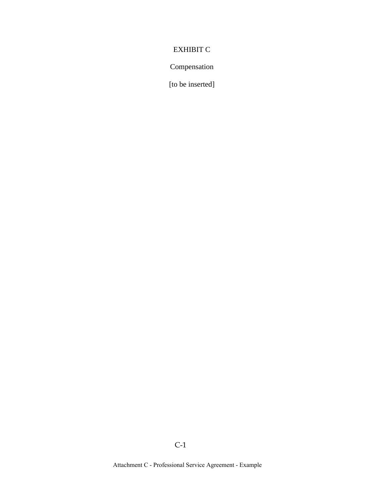# EXHIBIT C

## Compensation

[to be inserted]

C-1